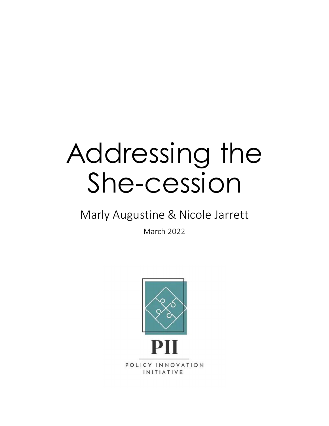## Addressing the She-cession

### Marly Augustine & Nicole Jarrett

March 2022

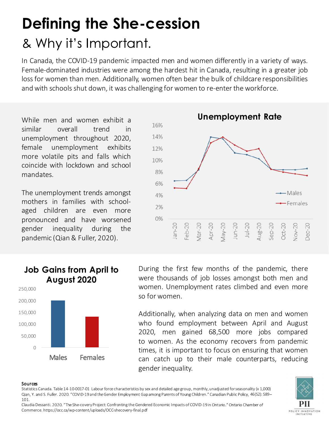# Defining the She-cession

**Defining the She-cession**<br>8. Why it's Important.<br>In Canada, the COVID-19 pandemic impacted men and women differently in a variety of ways.<br>Female-dominated industries were among the hardest hit in Canada, resulting in a g **Defining the She-cession**<br>8. Why it's Important.<br>In Canada, the COVID-19 pandemic impacted men and women differently in a variety of ways.<br>Female-dominated industries were among the hardest hit in Canada, resulting in a g **Defining the She-cession**<br>
& Why it's Important.<br>
In Canada, the COVID-19 pandemic impacted men and women differently in a variety of ways.<br>
Female-dominated industries were among the hardest hit in Canada, resulting in a **Defining the She-cession**<br>
& Why it's Important.<br>
In Canada, the COVID-19 pandemic impacted men and women differently in a variety of ways.<br>
Female-dominated industries were among the hardest hit in Canada, resulting in a **Defining the She-cession**<br>
& Why it's Important.<br>
In Canada, the COVID-19 pandemic impacted men and women differently in a variety of way<br>
Female-dominated industries were among the hardest hit in Canada, resulting in a g

mandates.



#### Job Gains from April to During the fir August 2020 **August 2020**



Males Females can catch up to their male counterparts, reducing 296<br>
2020,  $\frac{1}{2}$   $\frac{1}{2}$   $\frac{1}{2}$   $\frac{1}{2}$   $\frac{1}{2}$   $\frac{1}{2}$   $\frac{1}{2}$   $\frac{1}{2}$   $\frac{1}{2}$   $\frac{1}{2}$   $\frac{1}{2}$   $\frac{1}{2}$   $\frac{1}{2}$   $\frac{1}{2}$   $\frac{1}{2}$   $\frac{1}{2}$   $\frac{1}{2}$   $\frac{1}{2}$   $\frac{1}{2}$   $\frac{1}{2}$   $\frac{1}{2}$   $2^{\frac{2}{\pi}}$ <br>  $\frac{2}{\pi}$ <br>  $\frac{2}{\pi}$ <br>  $\frac{2}{\pi}$ <br>  $\frac{2}{\pi}$ <br>  $\frac{2}{\pi}$ <br>  $\frac{2}{\pi}$ <br>  $\frac{2}{\pi}$ <br>  $\frac{2}{\pi}$ <br>  $\frac{2}{\pi}$ <br>  $\frac{2}{\pi}$ <br>  $\frac{2}{\pi}$ <br>  $\frac{2}{\pi}$ <br>  $\frac{2}{\pi}$ <br>  $\frac{2}{\pi}$ <br>  $\frac{2}{\pi}$ <br>  $\frac{2}{\pi}$ <br>  $\frac{2}{\pi}$ <br>  $\frac$ The paper of the pandemic, there were thousands of  $\frac{1}{2}$  and  $\frac{1}{2}$  and  $\frac{1}{2}$  and  $\frac{1}{2}$  and  $\frac{1}{2}$  and  $\frac{1}{2}$  and  $\frac{1}{2}$  and  $\frac{1}{2}$  and  $\frac{1}{2}$  and  $\frac{1}{2}$  and  $\frac{1}{2}$  and  $\frac{1}{2}$  and  $\$ During the first few months of the pandemic, there<br>
were thousands of job losses amongst both men and<br>
women. Unemployment rates climbed and even more<br>
so for women.<br>
Additionally, when analyzing data on men and women<br>
so  $\frac{\pi}{2}$   $\frac{\pi}{2}$   $\frac{\pi}{3}$   $\frac{\pi}{3}$   $\frac{\pi}{3}$   $\frac{\pi}{3}$   $\frac{\pi}{3}$   $\frac{\pi}{3}$   $\frac{\pi}{3}$   $\frac{\pi}{3}$   $\frac{\pi}{3}$   $\frac{\pi}{3}$   $\frac{\pi}{3}$   $\frac{\pi}{3}$   $\frac{\pi}{3}$   $\frac{\pi}{3}$   $\frac{\pi}{3}$   $\frac{\pi}{3}$   $\frac{\pi}{3}$   $\frac{\pi}{3}$   $\frac{\pi}{3}$   $\frac{\pi}{3}$  **Sources**<br>
So,000<br>
Sources Canada. Table 14-10-017-01 Labour forces Canada. Table 14-10-017-01 Labour forces Canada. Table 14-10-017-01 Labour forces Canada. Table 14-10-017-01 Labour forces Canada. Table 14-10-017-01 Lab

101.

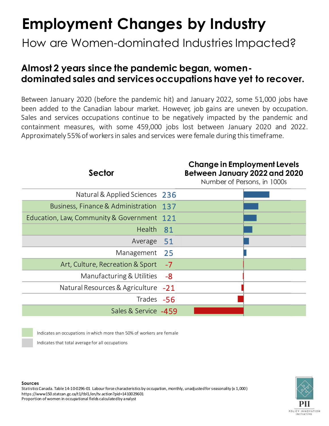## Employment Changes by Industry

How are Women-dominated Industries Impacted?

# Almost 2 years since the pandemic began, women-**Employment Changes by Industry**<br>How are Women-dominated Industries Impacted?<br>Almost 2 years since the pandemic began, women-<br>dominated sales and services occupations have yet to recover.<br>Between January 2020 (before the p

**Employment Changes by Industry**<br>How are Women-dominated Industries Impacted?<br>Almost 2 years since the pandemic began, women-<br>dominated sales and services occupations have yet to recover.<br>Between January 2020 (before the p **Employment Changes by Industry**<br>How are Women-dominated Industries Impacted?<br>Almost 2 years since the pandemic began, women-<br>dominated sales and services occupations have yet to recover.<br>Between January 2020 (before the p **Employment Changes by Industry**<br>How are Women-dominated Industries Impacted?<br>Almost 2 years since the pandemic began, women-<br>dominated sales and services occupations have yet to recover.<br>Between January 2020 (before the p **Employment Changes by Industry**<br>How are Women-dominated Industries Impacted?<br>Almost 2 years since the pandemic began, women-<br>dominated sales and services occupations have yet to recover.<br>Between January 2020 (before the p Employment Changes by Industry<br>
How are Women-dominated Industries Impacted?<br>
Almost 2 years since the pandemic began, women-<br>
dominated sales and services occupations have yet to recover.<br>
Between January 2020 (before the

#### Sector

#### Change in Employment Levels Between January 2022 and 2020

Number of Persons, in 1000s

| Natural & Applied Sciences                                                                                                                                                                                                                                                                                          | 236   |
|---------------------------------------------------------------------------------------------------------------------------------------------------------------------------------------------------------------------------------------------------------------------------------------------------------------------|-------|
| Business, Finance & Administration                                                                                                                                                                                                                                                                                  | 137   |
| Education, Law, Community & Government                                                                                                                                                                                                                                                                              | 121   |
| Health                                                                                                                                                                                                                                                                                                              | 81    |
| Average                                                                                                                                                                                                                                                                                                             | 51    |
| Management                                                                                                                                                                                                                                                                                                          | 25    |
| Art, Culture, Recreation & Sport                                                                                                                                                                                                                                                                                    | $-7$  |
| Manufacturing & Utilities                                                                                                                                                                                                                                                                                           | -8    |
| Natural Resources & Agriculture                                                                                                                                                                                                                                                                                     | $-21$ |
| Trades -56                                                                                                                                                                                                                                                                                                          |       |
| Sales & Service -459                                                                                                                                                                                                                                                                                                |       |
| Indicates an occupations in which more than 50% of workers are female<br>Indicates that total average for all occupations                                                                                                                                                                                           |       |
| <b>Sources</b><br>Statistics Canada. Table 14-10-0296-01 Labour force characteristics by occupation, monthly, unadjusted for seasonality (x 1,000)<br>https://www150.statcan.gc.ca/t1/tbl1/en/tv.action?pid=1410029601<br>Proportion of women in occupational fields calculated by a nalyst<br>POLICY INN<br>INITIA |       |